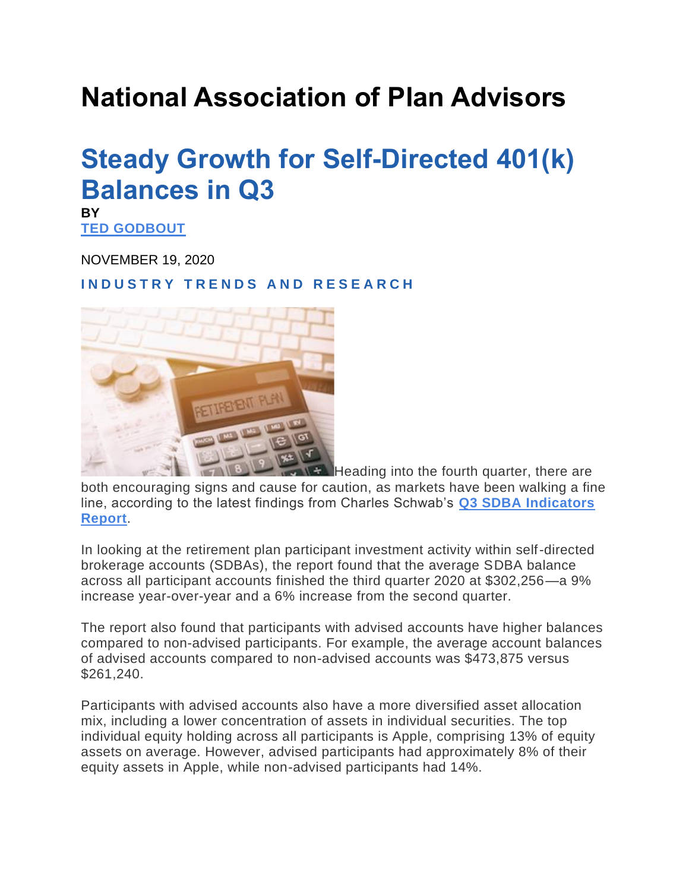## **National Association of Plan Advisors**

## **Steady Growth for Self-Directed 401(k) Balances in Q3**

**BY**

**TED [GODBOUT](https://www.napa-net.org/news-resources/browse-authors/Ted-Godbout)**

NOVEMBER 19, 2020

**I N D U S T R Y T R E N D S A N D R E S E A R C H**



**Heading into the fourth quarter, there are** both encouraging signs and cause for caution, as markets have been walking a fine line, according to the latest findings from Charles Schwab's **Q3 SDBA [Indicators](https://workplacefinancialservices.schwab.com/resource/SDBA-indicator-Q3-2020-report) [Report](https://workplacefinancialservices.schwab.com/resource/SDBA-indicator-Q3-2020-report)**.

In looking at the retirement plan participant investment activity within self-directed brokerage accounts (SDBAs), the report found that the average SDBA balance across all participant accounts finished the third quarter 2020 at \$302,256—a 9% increase year-over-year and a 6% increase from the second quarter.

The report also found that participants with advised accounts have higher balances compared to non-advised participants. For example, the average account balances of advised accounts compared to non-advised accounts was \$473,875 versus \$261,240.

Participants with advised accounts also have a more diversified asset allocation mix, including a lower concentration of assets in individual securities. The top individual equity holding across all participants is Apple, comprising 13% of equity assets on average. However, advised participants had approximately 8% of their equity assets in Apple, while non-advised participants had 14%.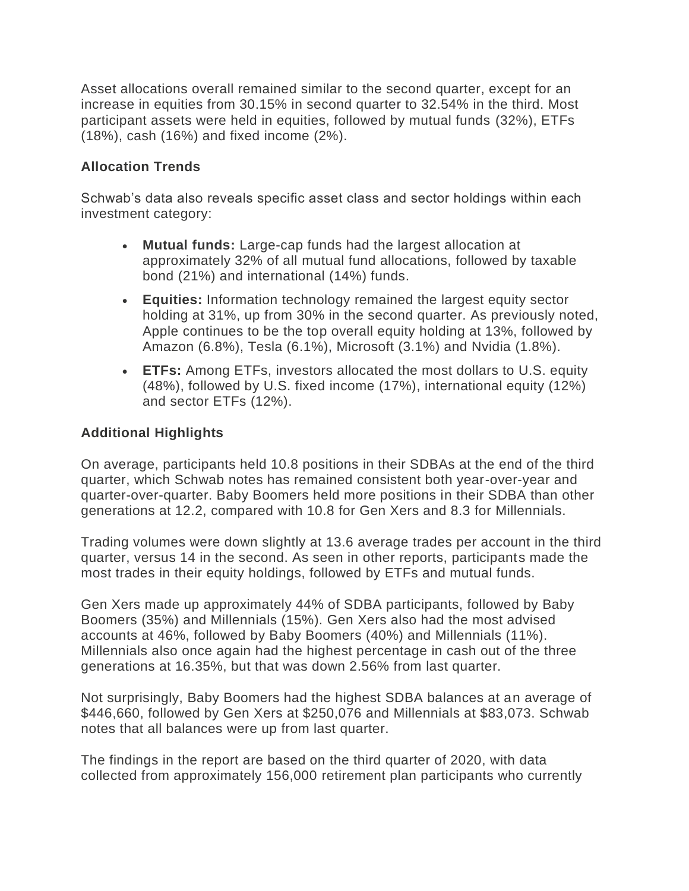Asset allocations overall remained similar to the second quarter, except for an increase in equities from 30.15% in second quarter to 32.54% in the third. Most participant assets were held in equities, followed by mutual funds (32%), ETFs (18%), cash (16%) and fixed income (2%).

## **Allocation Trends**

Schwab's data also reveals specific asset class and sector holdings within each investment category:

- **Mutual funds:** Large-cap funds had the largest allocation at approximately 32% of all mutual fund allocations, followed by taxable bond (21%) and international (14%) funds.
- **Equities:** Information technology remained the largest equity sector holding at 31%, up from 30% in the second quarter. As previously noted, Apple continues to be the top overall equity holding at 13%, followed by Amazon (6.8%), Tesla (6.1%), Microsoft (3.1%) and Nvidia (1.8%).
- **ETFs:** Among ETFs, investors allocated the most dollars to U.S. equity (48%), followed by U.S. fixed income (17%), international equity (12%) and sector ETFs (12%).

## **Additional Highlights**

On average, participants held 10.8 positions in their SDBAs at the end of the third quarter, which Schwab notes has remained consistent both year-over-year and quarter-over-quarter. Baby Boomers held more positions in their SDBA than other generations at 12.2, compared with 10.8 for Gen Xers and 8.3 for Millennials.

Trading volumes were down slightly at 13.6 average trades per account in the third quarter, versus 14 in the second. As seen in other reports, participants made the most trades in their equity holdings, followed by ETFs and mutual funds.

Gen Xers made up approximately 44% of SDBA participants, followed by Baby Boomers (35%) and Millennials (15%). Gen Xers also had the most advised accounts at 46%, followed by Baby Boomers (40%) and Millennials (11%). Millennials also once again had the highest percentage in cash out of the three generations at 16.35%, but that was down 2.56% from last quarter.

Not surprisingly, Baby Boomers had the highest SDBA balances at an average of \$446,660, followed by Gen Xers at \$250,076 and Millennials at \$83,073. Schwab notes that all balances were up from last quarter.

The findings in the report are based on the third quarter of 2020, with data collected from approximately 156,000 retirement plan participants who currently